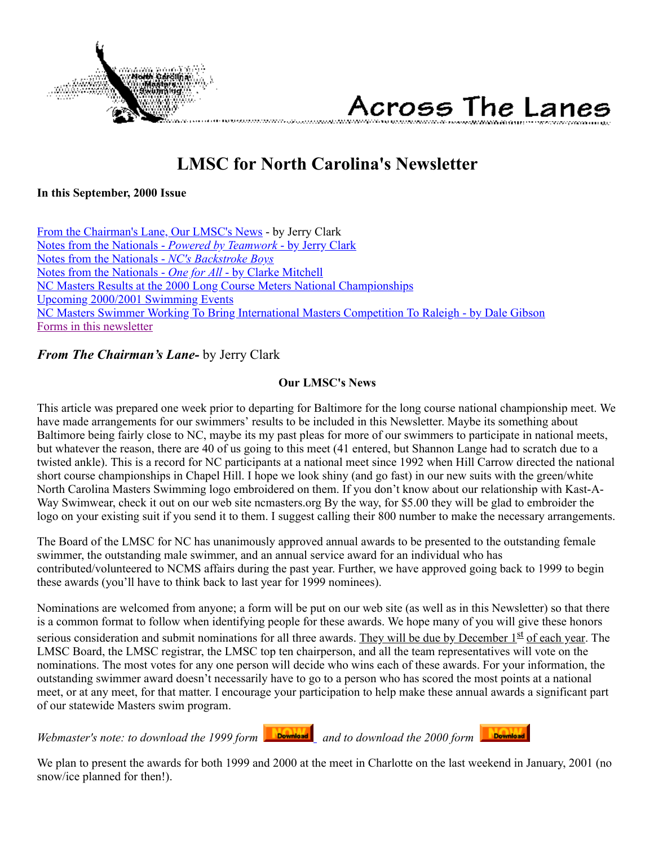

Across The Lanes

# **LMSC for North Carolina's Newsletter**

<span id="page-0-1"></span>**In this September, 2000 Issue**

<span id="page-0-0"></span>[From the Chairman's Lane, Our LMSC's News](#page-0-0) - by Jerry Clark [Notes from the Nationals -](#page-1-0) *Powered by Teamwork* - by Jerry Clark [Notes from the Nationals -](#page-1-1) *NC's Backstroke Boys* [Notes from the Nationals -](#page-2-0) *One for All* - by Clarke Mitchell [NC Masters Results at the 2000 Long Course Meters National Championships](#page-2-1) [Upcoming 2000/2001 Swimming Events](#page-7-0) [NC Masters Swimmer Working To Bring International Masters Competition To Raleigh - by Dale Gibson](#page-8-0) [Forms in this newsletter](#page-9-0)

## *From The Chairman's Lane-* by Jerry Clark

## **Our LMSC's News**

This article was prepared one week prior to departing for Baltimore for the long course national championship meet. We have made arrangements for our swimmers' results to be included in this Newsletter. Maybe its something about Baltimore being fairly close to NC, maybe its my past pleas for more of our swimmers to participate in national meets, but whatever the reason, there are 40 of us going to this meet (41 entered, but Shannon Lange had to scratch due to a twisted ankle). This is a record for NC participants at a national meet since 1992 when Hill Carrow directed the national short course championships in Chapel Hill. I hope we look shiny (and go fast) in our new suits with the green/white North Carolina Masters Swimming logo embroidered on them. If you don't know about our relationship with Kast-A-Way Swimwear, check it out on our web site ncmasters.org By the way, for \$5.00 they will be glad to embroider the logo on your existing suit if you send it to them. I suggest calling their 800 number to make the necessary arrangements.

The Board of the LMSC for NC has unanimously approved annual awards to be presented to the outstanding female swimmer, the outstanding male swimmer, and an annual service award for an individual who has contributed/volunteered to NCMS affairs during the past year. Further, we have approved going back to 1999 to begin these awards (you'll have to think back to last year for 1999 nominees).

Nominations are welcomed from anyone; a form will be put on our web site (as well as in this Newsletter) so that there is a common format to follow when identifying people for these awards. We hope many of you will give these honors serious consideration and submit nominations for all three awards. They will be due by December  $1<sup>st</sup>$  of each year. The LMSC Board, the LMSC registrar, the LMSC top ten chairperson, and all the team representatives will vote on the nominations. The most votes for any one person will decide who wins each of these awards. For your information, the outstanding swimmer award doesn't necessarily have to go to a person who has scored the most points at a national meet, or at any meet, for that matter. I encourage your participation to help make these annual awards a significant part of our statewide Masters swim program.

*Webmaster's note: to download the 1999 form bownload* and to download the 2000 form **bownload** 



We plan to present the awards for both 1999 and 2000 at the meet in Charlotte on the last weekend in January, 2001 (no snow/ice planned for then!).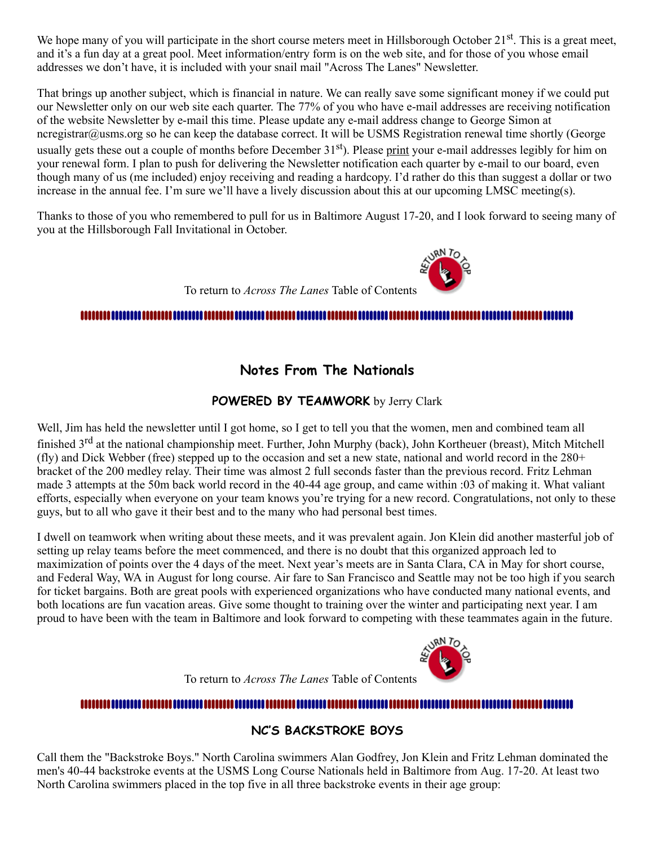We hope many of you will participate in the short course meters meet in Hillsborough October 21<sup>st</sup>. This is a great meet, and it's a fun day at a great pool. Meet information/entry form is on the web site, and for those of you whose email addresses we don't have, it is included with your snail mail "Across The Lanes" Newsletter.

That brings up another subject, which is financial in nature. We can really save some significant money if we could put our Newsletter only on our web site each quarter. The 77% of you who have e-mail addresses are receiving notification of the website Newsletter by e-mail this time. Please update any e-mail address change to George Simon at ncregistrar@usms.org so he can keep the database correct. It will be USMS Registration renewal time shortly (George usually gets these out a couple of months before December 31<sup>st</sup>). Please print your e-mail addresses legibly for him on your renewal form. I plan to push for delivering the Newsletter notification each quarter by e-mail to our board, even though many of us (me included) enjoy receiving and reading a hardcopy. I'd rather do this than suggest a dollar or two increase in the annual fee. I'm sure we'll have a lively discussion about this at our upcoming LMSC meeting(s).

Thanks to those of you who remembered to pull for us in Baltimore August 17-20, and I look forward to seeing many of you at the Hillsborough Fall Invitational in October.

To return to *Across The Lanes* Table of Contents

## 

**Notes From The Nationals**

## **POWERED BY TEAMWORK** by Jerry Clark

<span id="page-1-0"></span>Well, Jim has held the newsletter until I got home, so I get to tell you that the women, men and combined team all finished 3<sup>rd</sup> at the national championship meet. Further, John Murphy (back), John Kortheuer (breast), Mitch Mitchell (fly) and Dick Webber (free) stepped up to the occasion and set a new state, national and world record in the 280+ bracket of the 200 medley relay. Their time was almost 2 full seconds faster than the previous record. Fritz Lehman made 3 attempts at the 50m back world record in the 40-44 age group, and came within :03 of making it. What valiant efforts, especially when everyone on your team knows you're trying for a new record. Congratulations, not only to these guys, but to all who gave it their best and to the many who had personal best times.

I dwell on teamwork when writing about these meets, and it was prevalent again. Jon Klein did another masterful job of setting up relay teams before the meet commenced, and there is no doubt that this organized approach led to maximization of points over the 4 days of the meet. Next year's meets are in Santa Clara, CA in May for short course, and Federal Way, WA in August for long course. Air fare to San Francisco and Seattle may not be too high if you search for ticket bargains. Both are great pools with experienced organizations who have conducted many national events, and both locations are fun vacation areas. Give some thought to training over the winter and participating next year. I am proud to have been with the team in Baltimore and look forward to competing with these teammates again in the future.



To return to *Across The Lanes* Table of Contents

## **NC'S BACKSTROKE BOYS**

<span id="page-1-1"></span>Call them the "Backstroke Boys." North Carolina swimmers Alan Godfrey, Jon Klein and Fritz Lehman dominated the men's 40-44 backstroke events at the USMS Long Course Nationals held in Baltimore from Aug. 17-20. At least two North Carolina swimmers placed in the top five in all three backstroke events in their age group: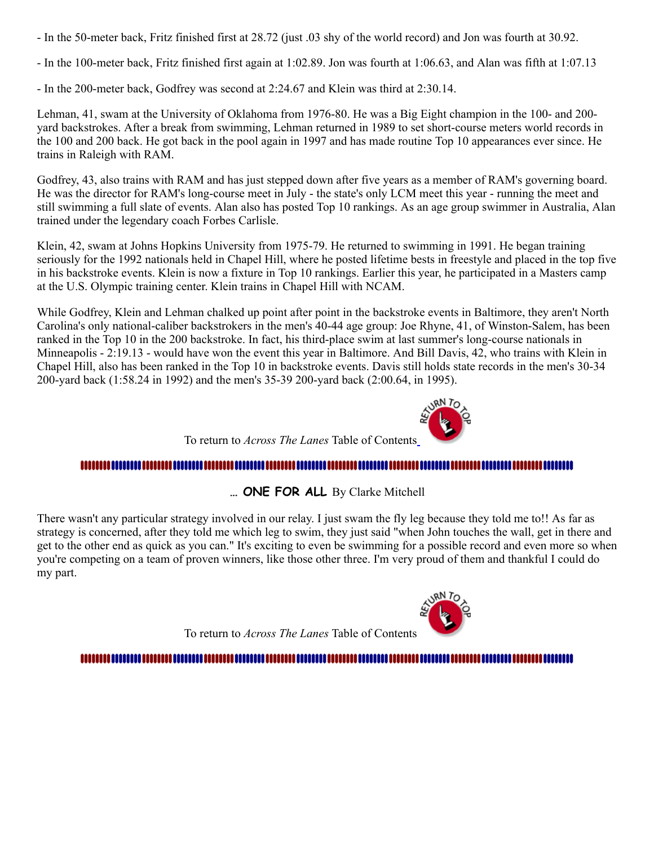- In the 50-meter back, Fritz finished first at 28.72 (just .03 shy of the world record) and Jon was fourth at 30.92.
- In the 100-meter back, Fritz finished first again at 1:02.89. Jon was fourth at 1:06.63, and Alan was fifth at 1:07.13
- In the 200-meter back, Godfrey was second at 2:24.67 and Klein was third at 2:30.14.

Lehman, 41, swam at the University of Oklahoma from 1976-80. He was a Big Eight champion in the 100- and 200 yard backstrokes. After a break from swimming, Lehman returned in 1989 to set short-course meters world records in the 100 and 200 back. He got back in the pool again in 1997 and has made routine Top 10 appearances ever since. He trains in Raleigh with RAM.

Godfrey, 43, also trains with RAM and has just stepped down after five years as a member of RAM's governing board. He was the director for RAM's long-course meet in July - the state's only LCM meet this year - running the meet and still swimming a full slate of events. Alan also has posted Top 10 rankings. As an age group swimmer in Australia, Alan trained under the legendary coach Forbes Carlisle.

Klein, 42, swam at Johns Hopkins University from 1975-79. He returned to swimming in 1991. He began training seriously for the 1992 nationals held in Chapel Hill, where he posted lifetime bests in freestyle and placed in the top five in his backstroke events. Klein is now a fixture in Top 10 rankings. Earlier this year, he participated in a Masters camp at the U.S. Olympic training center. Klein trains in Chapel Hill with NCAM.

While Godfrey, Klein and Lehman chalked up point after point in the backstroke events in Baltimore, they aren't North Carolina's only national-caliber backstrokers in the men's 40-44 age group: Joe Rhyne, 41, of Winston-Salem, has been ranked in the Top 10 in the 200 backstroke. In fact, his third-place swim at last summer's long-course nationals in Minneapolis - 2:19.13 - would have won the event this year in Baltimore. And Bill Davis, 42, who trains with Klein in Chapel Hill, also has been ranked in the Top 10 in backstroke events. Davis still holds state records in the men's 30-34 200-yard back (1:58.24 in 1992) and the men's 35-39 200-yard back (2:00.64, in 1995).



To return to *Across The Lanes* Table of Contents

## 

**… ONE FOR ALL** By Clarke Mitchell

<span id="page-2-0"></span>There wasn't any particular strategy involved in our relay. I just swam the fly leg because they told me to!! As far as strategy is concerned, after they told me which leg to swim, they just said "when John touches the wall, get in there and get to the other end as quick as you can." It's exciting to even be swimming for a possible record and even more so when you're competing on a team of proven winners, like those other three. I'm very proud of them and thankful I could do my part.



To return to *Across The Lanes* Table of Contents

## <span id="page-2-1"></span>,,,,,,,,,,,,,,,,,,,,,,,,,,,,,,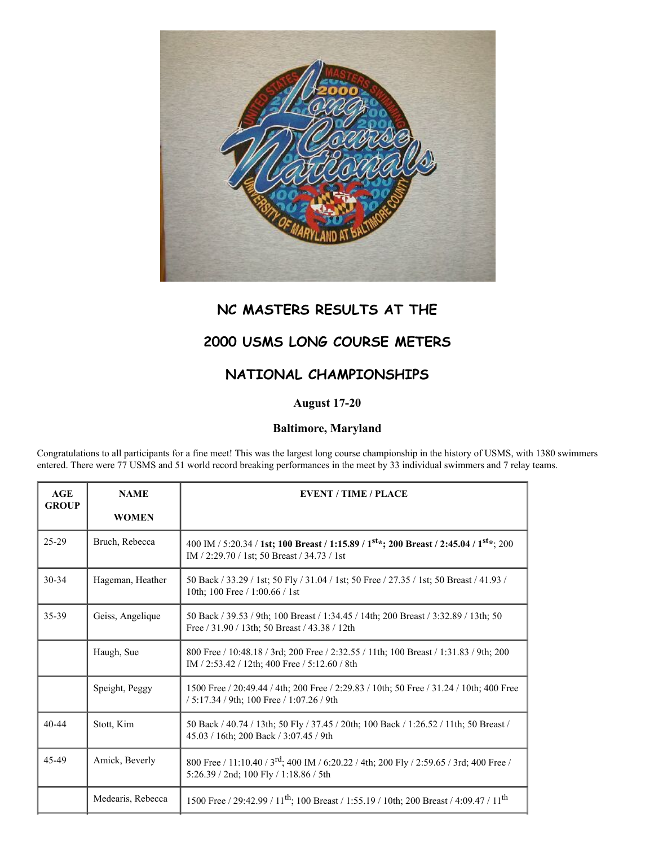

## **NC MASTERS RESULTS AT THE**

## **2000 USMS LONG COURSE METERS**

## **NATIONAL CHAMPIONSHIPS**

## **August 17-20**

#### **Baltimore, Maryland**

Congratulations to all participants for a fine meet! This was the largest long course championship in the history of USMS, with 1380 swimmers entered. There were 77 USMS and 51 world record breaking performances in the meet by 33 individual swimmers and 7 relay teams.

| AGE<br><b>GROUP</b> | <b>NAME</b>       | <b>EVENT / TIME / PLACE</b>                                                                                                                                    |  |  |
|---------------------|-------------------|----------------------------------------------------------------------------------------------------------------------------------------------------------------|--|--|
|                     | <b>WOMEN</b>      |                                                                                                                                                                |  |  |
| $25-29$             | Bruch, Rebecca    | 400 IM / 5:20.34 / 1st; 100 Breast / 1:15.89 / 1 <sup>st</sup> *; 200 Breast / 2:45.04 / 1 <sup>st</sup> *; 200<br>IM / 2:29.70 / 1st; 50 Breast / 34.73 / 1st |  |  |
| 30-34               | Hageman, Heather  | 50 Back / 33.29 / 1st; 50 Fly / 31.04 / 1st; 50 Free / 27.35 / 1st; 50 Breast / 41.93 /<br>10th; 100 Free / 1:00.66 / 1st                                      |  |  |
| $35 - 39$           | Geiss, Angelique  | 50 Back / 39.53 / 9th; 100 Breast / 1:34.45 / 14th; 200 Breast / 3:32.89 / 13th; 50<br>Free / 31.90 / 13th; 50 Breast / 43.38 / 12th                           |  |  |
|                     | Haugh, Sue        | 800 Free / 10:48.18 / 3rd; 200 Free / 2:32.55 / 11th; 100 Breast / 1:31.83 / 9th; 200<br>IM / 2:53.42 / 12th; 400 Free / 5:12.60 / 8th                         |  |  |
|                     | Speight, Peggy    | 1500 Free / 20:49.44 / 4th; 200 Free / 2:29.83 / 10th; 50 Free / 31.24 / 10th; 400 Free<br>/ 5:17.34 / 9th; 100 Free / 1:07.26 / 9th                           |  |  |
| $40 - 44$           | Stott, Kim        | 50 Back / 40.74 / 13th; 50 Fly / 37.45 / 20th; 100 Back / 1:26.52 / 11th; 50 Breast /<br>45.03 / 16th; 200 Back / 3:07.45 / 9th                                |  |  |
| 45-49               | Amick, Beverly    | 800 Free / 11:10.40 / 3 <sup>rd</sup> ; 400 IM / 6:20.22 / 4th; 200 Fly / 2:59.65 / 3rd; 400 Free /<br>5:26.39 / 2nd; 100 Fly / 1:18.86 / 5th                  |  |  |
|                     | Medearis, Rebecca | 1500 Free / 29:42.99 / 11 <sup>th</sup> ; 100 Breast / 1:55.19 / 10th; 200 Breast / 4:09.47 / 11 <sup>th</sup>                                                 |  |  |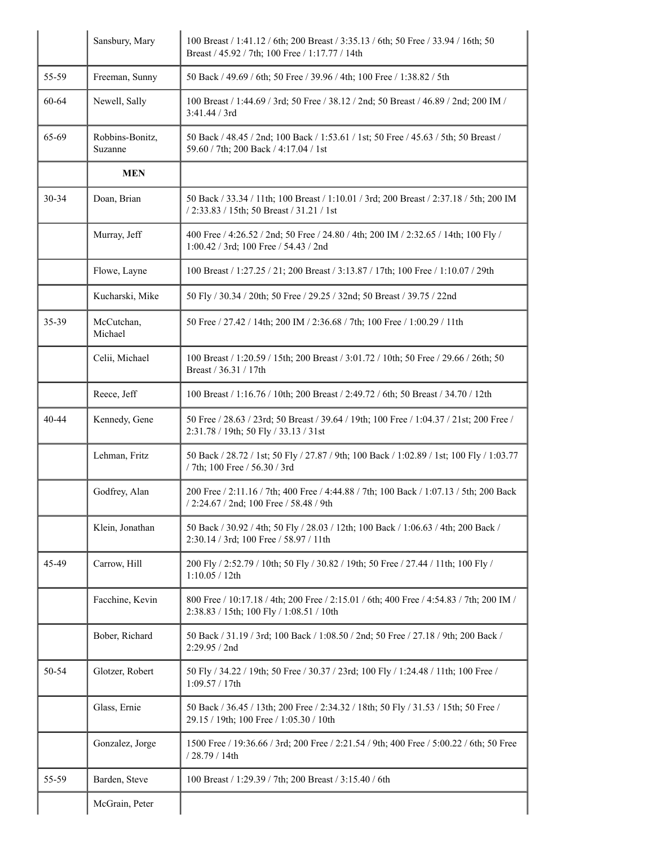|       | Sansbury, Mary             | 100 Breast / 1:41.12 / 6th; 200 Breast / 3:35.13 / 6th; 50 Free / 33.94 / 16th; 50<br>Breast / 45.92 / 7th; 100 Free / 1:17.77 / 14th |
|-------|----------------------------|---------------------------------------------------------------------------------------------------------------------------------------|
| 55-59 | Freeman, Sunny             | 50 Back / 49.69 / 6th; 50 Free / 39.96 / 4th; 100 Free / 1:38.82 / 5th                                                                |
| 60-64 | Newell, Sally              | 100 Breast / 1:44.69 / 3rd; 50 Free / 38.12 / 2nd; 50 Breast / 46.89 / 2nd; 200 IM /<br>3:41.44 / 3rd                                 |
| 65-69 | Robbins-Bonitz,<br>Suzanne | 50 Back / 48.45 / 2nd; 100 Back / 1:53.61 / 1st; 50 Free / 45.63 / 5th; 50 Breast /<br>59.60 / 7th; 200 Back / 4:17.04 / 1st          |
|       | <b>MEN</b>                 |                                                                                                                                       |
| 30-34 | Doan, Brian                | 50 Back / 33.34 / 11th; 100 Breast / 1:10.01 / 3rd; 200 Breast / 2:37.18 / 5th; 200 IM<br>/ 2:33.83 / 15th; 50 Breast / 31.21 / 1st   |
|       | Murray, Jeff               | 400 Free / 4:26.52 / 2nd; 50 Free / 24.80 / 4th; 200 IM / 2:32.65 / 14th; 100 Fly /<br>1:00.42 / 3rd; 100 Free / 54.43 / 2nd          |
|       | Flowe, Layne               | 100 Breast / 1:27.25 / 21; 200 Breast / 3:13.87 / 17th; 100 Free / 1:10.07 / 29th                                                     |
|       | Kucharski, Mike            | 50 Fly / 30.34 / 20th; 50 Free / 29.25 / 32nd; 50 Breast / 39.75 / 22nd                                                               |
| 35-39 | McCutchan,<br>Michael      | 50 Free / 27.42 / 14th; 200 IM / 2:36.68 / 7th; 100 Free / 1:00.29 / 11th                                                             |
|       | Celii, Michael             | 100 Breast / 1:20.59 / 15th; 200 Breast / 3:01.72 / 10th; 50 Free / 29.66 / 26th; 50<br>Breast / 36.31 / 17th                         |
|       | Reece, Jeff                | 100 Breast / 1:16.76 / 10th; 200 Breast / 2:49.72 / 6th; 50 Breast / 34.70 / 12th                                                     |
| 40-44 | Kennedy, Gene              | 50 Free / 28.63 / 23rd; 50 Breast / 39.64 / 19th; 100 Free / 1:04.37 / 21st; 200 Free /<br>2:31.78 / 19th; 50 Fly / 33.13 / 31st      |
|       | Lehman, Fritz              | 50 Back / 28.72 / 1st; 50 Fly / 27.87 / 9th; 100 Back / 1:02.89 / 1st; 100 Fly / 1:03.77<br>/ 7th; 100 Free / 56.30 / 3rd             |
|       | Godfrey, Alan              | 200 Free / 2:11.16 / 7th; 400 Free / 4:44.88 / 7th; 100 Back / 1:07.13 / 5th; 200 Back<br>/ 2:24.67 / 2nd; 100 Free / 58.48 / 9th     |
|       | Klein, Jonathan            | 50 Back / 30.92 / 4th; 50 Fly / 28.03 / 12th; 100 Back / 1:06.63 / 4th; 200 Back /<br>2:30.14 / 3rd; 100 Free / 58.97 / 11th          |
| 45-49 | Carrow, Hill               | 200 Fly / 2:52.79 / 10th; 50 Fly / 30.82 / 19th; 50 Free / 27.44 / 11th; 100 Fly /<br>1:10.05 / 12th                                  |
|       | Facchine, Kevin            | 800 Free / 10:17.18 / 4th; 200 Free / 2:15.01 / 6th; 400 Free / 4:54.83 / 7th; 200 IM /<br>2:38.83 / 15th; 100 Fly / 1:08.51 / 10th   |
|       | Bober, Richard             | 50 Back / 31.19 / 3rd; 100 Back / 1:08.50 / 2nd; 50 Free / 27.18 / 9th; 200 Back /<br>2:29.95 / 2nd                                   |
| 50-54 | Glotzer, Robert            | 50 Fly / 34.22 / 19th; 50 Free / 30.37 / 23rd; 100 Fly / 1:24.48 / 11th; 100 Free /<br>1:09.57 / 17th                                 |
|       | Glass, Ernie               | 50 Back / 36.45 / 13th; 200 Free / 2:34.32 / 18th; 50 Fly / 31.53 / 15th; 50 Free /<br>29.15 / 19th; 100 Free / 1:05.30 / 10th        |
|       | Gonzalez, Jorge            | 1500 Free / 19:36.66 / 3rd; 200 Free / 2:21.54 / 9th; 400 Free / 5:00.22 / 6th; 50 Free<br>/ 28.79 / 14th                             |
| 55-59 | Barden, Steve              | 100 Breast / 1:29.39 / 7th; 200 Breast / 3:15.40 / 6th                                                                                |
|       | McGrain, Peter             |                                                                                                                                       |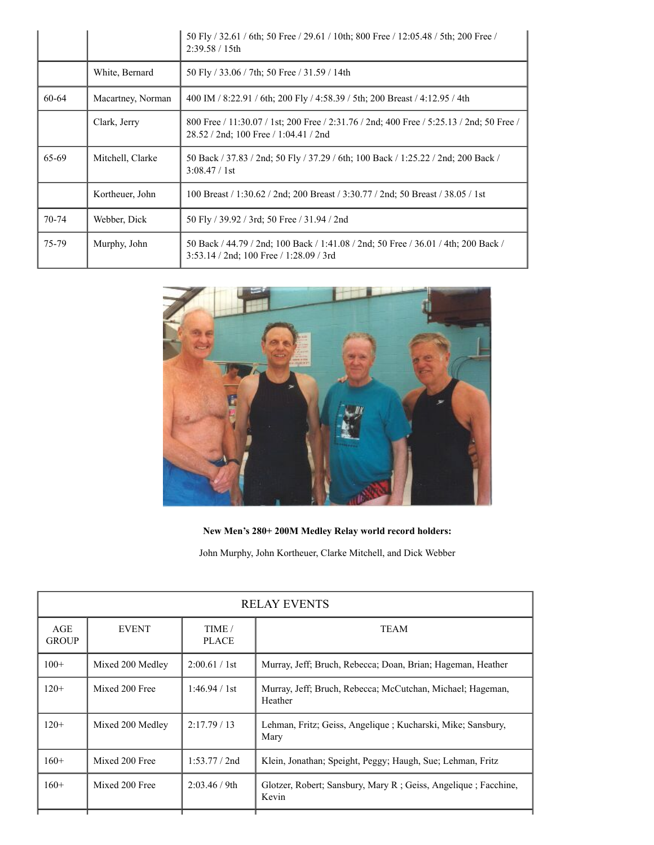|           |                   | 50 Fly / 32.61 / 6th; 50 Free / 29.61 / 10th; 800 Free / 12:05.48 / 5th; 200 Free /<br>$2:39.58 / 15$ th                           |
|-----------|-------------------|------------------------------------------------------------------------------------------------------------------------------------|
|           | White, Bernard    | 50 Fly / 33.06 / 7th; 50 Free / 31.59 / 14th                                                                                       |
| 60-64     | Macartney, Norman | 400 IM / 8:22.91 / 6th; 200 Fly / 4:58.39 / 5th; 200 Breast / 4:12.95 / 4th                                                        |
|           | Clark, Jerry      | 800 Free / 11:30.07 / 1st; 200 Free / 2:31.76 / 2nd; 400 Free / 5:25.13 / 2nd; 50 Free /<br>28.52 / 2nd; 100 Free / 1:04.41 / 2nd  |
| 65-69     | Mitchell, Clarke  | 50 Back / 37.83 / 2nd; 50 Fly / 37.29 / 6th; 100 Back / 1:25.22 / 2nd; 200 Back /<br>3:08.47 / 1st                                 |
|           | Kortheuer, John   | 100 Breast / 1:30.62 / 2nd; 200 Breast / 3:30.77 / 2nd; 50 Breast / 38.05 / 1st                                                    |
| $70 - 74$ | Webber, Dick      | 50 Fly / 39.92 / 3rd; 50 Free / 31.94 / 2nd                                                                                        |
| 75-79     | Murphy, John      | 50 Back / 44.79 / 2nd; 100 Back / 1:41.08 / 2nd; 50 Free / 36.01 / 4th; 200 Back /<br>$3:53.14 / 2nd$ ; 100 Free $/ 1:28.09 / 3rd$ |



**New Men's 280+ 200M Medley Relay world record holders:**

John Murphy, John Kortheuer, Clarke Mitchell, and Dick Webber

| <b>RELAY EVENTS</b> |                  |                        |                                                                         |  |
|---------------------|------------------|------------------------|-------------------------------------------------------------------------|--|
| AGE<br><b>GROUP</b> | <b>EVENT</b>     | TIME /<br><b>PLACE</b> | <b>TEAM</b>                                                             |  |
| $100+$              | Mixed 200 Medley | 2:00.61 / 1st          | Murray, Jeff; Bruch, Rebecca; Doan, Brian; Hageman, Heather             |  |
| $120+$              | Mixed 200 Free   | 1:46.94 / 1st          | Murray, Jeff; Bruch, Rebecca; McCutchan, Michael; Hageman,<br>Heather   |  |
| $120+$              | Mixed 200 Medley | 2:17.79/13             | Lehman, Fritz; Geiss, Angelique ; Kucharski, Mike; Sansbury,<br>Mary    |  |
| $160+$              | Mixed 200 Free   | 1:53.77 / 2nd          | Klein, Jonathan; Speight, Peggy; Haugh, Sue; Lehman, Fritz              |  |
| $160+$              | Mixed 200 Free   | 2:03.46 / 9th          | Glotzer, Robert; Sansbury, Mary R; Geiss, Angelique; Facchine,<br>Kevin |  |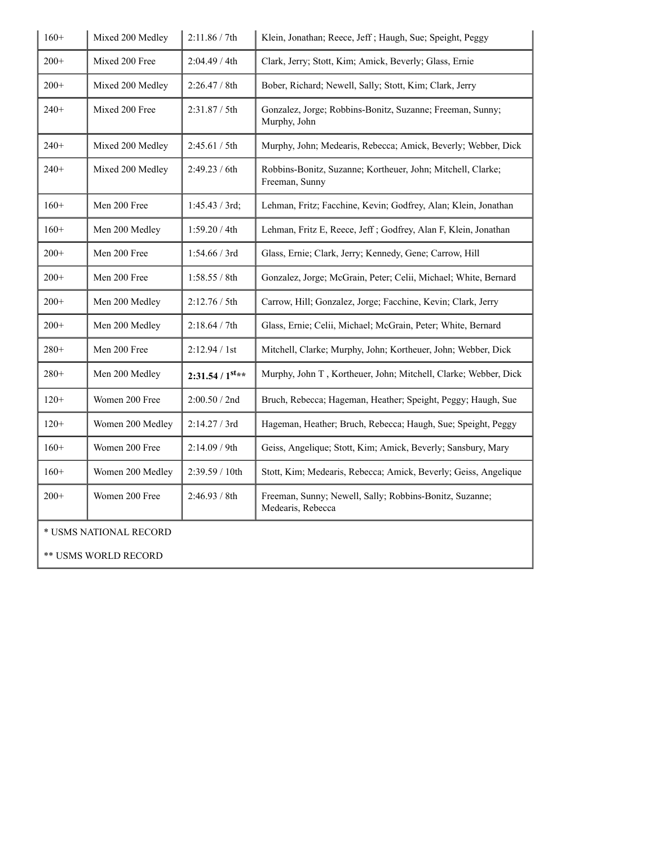| $160+$                 | Mixed 200 Medley | 2:11.86 / 7th           | Klein, Jonathan; Reece, Jeff; Haugh, Sue; Speight, Peggy                      |
|------------------------|------------------|-------------------------|-------------------------------------------------------------------------------|
| $200+$                 | Mixed 200 Free   | 2:04.49 / 4th           | Clark, Jerry; Stott, Kim; Amick, Beverly; Glass, Ernie                        |
| $200+$                 | Mixed 200 Medley | 2:26.47 / 8th           | Bober, Richard; Newell, Sally; Stott, Kim; Clark, Jerry                       |
| $240+$                 | Mixed 200 Free   | 2:31.87 / 5th           | Gonzalez, Jorge; Robbins-Bonitz, Suzanne; Freeman, Sunny;<br>Murphy, John     |
| $240+$                 | Mixed 200 Medley | 2:45.61 / 5th           | Murphy, John; Medearis, Rebecca; Amick, Beverly; Webber, Dick                 |
| $240+$                 | Mixed 200 Medley | 2:49.23 / 6th           | Robbins-Bonitz, Suzanne; Kortheuer, John; Mitchell, Clarke;<br>Freeman, Sunny |
| $160+$                 | Men 200 Free     | 1:45.43 / 3rd;          | Lehman, Fritz; Facchine, Kevin; Godfrey, Alan; Klein, Jonathan                |
| $160+$                 | Men 200 Medley   | 1:59.20 / 4th           | Lehman, Fritz E, Reece, Jeff ; Godfrey, Alan F, Klein, Jonathan               |
| $200+$                 | Men 200 Free     | 1:54.66 / 3rd           | Glass, Ernie; Clark, Jerry; Kennedy, Gene; Carrow, Hill                       |
| $200+$                 | Men 200 Free     | 1:58.55 / 8th           | Gonzalez, Jorge; McGrain, Peter; Celii, Michael; White, Bernard               |
| $200+$                 | Men 200 Medley   | 2:12.76 / 5th           | Carrow, Hill; Gonzalez, Jorge; Facchine, Kevin; Clark, Jerry                  |
| $200+$                 | Men 200 Medley   | 2:18.64 / 7th           | Glass, Ernie; Celii, Michael; McGrain, Peter; White, Bernard                  |
| $280+$                 | Men 200 Free     | 2:12.94 / 1st           | Mitchell, Clarke; Murphy, John; Kortheuer, John; Webber, Dick                 |
| $280+$                 | Men 200 Medley   | $2:31.54 / 1^{st_{**}}$ | Murphy, John T, Kortheuer, John; Mitchell, Clarke; Webber, Dick               |
| $120+$                 | Women 200 Free   | 2:00.50 / 2nd           | Bruch, Rebecca; Hageman, Heather; Speight, Peggy; Haugh, Sue                  |
| $120+$                 | Women 200 Medley | 2:14.27 / 3rd           | Hageman, Heather; Bruch, Rebecca; Haugh, Sue; Speight, Peggy                  |
| $160+$                 | Women 200 Free   | 2:14.09 / 9th           | Geiss, Angelique; Stott, Kim; Amick, Beverly; Sansbury, Mary                  |
| $160+$                 | Women 200 Medley | 2:39.59 / 10th          | Stott, Kim; Medearis, Rebecca; Amick, Beverly; Geiss, Angelique               |
| $200+$                 | Women 200 Free   | 2:46.93 / 8th           | Freeman, Sunny; Newell, Sally; Robbins-Bonitz, Suzanne;<br>Medearis, Rebecca  |
| * USMS NATIONAL RECORD |                  |                         |                                                                               |
| ** USMS WORLD RECORD   |                  |                         |                                                                               |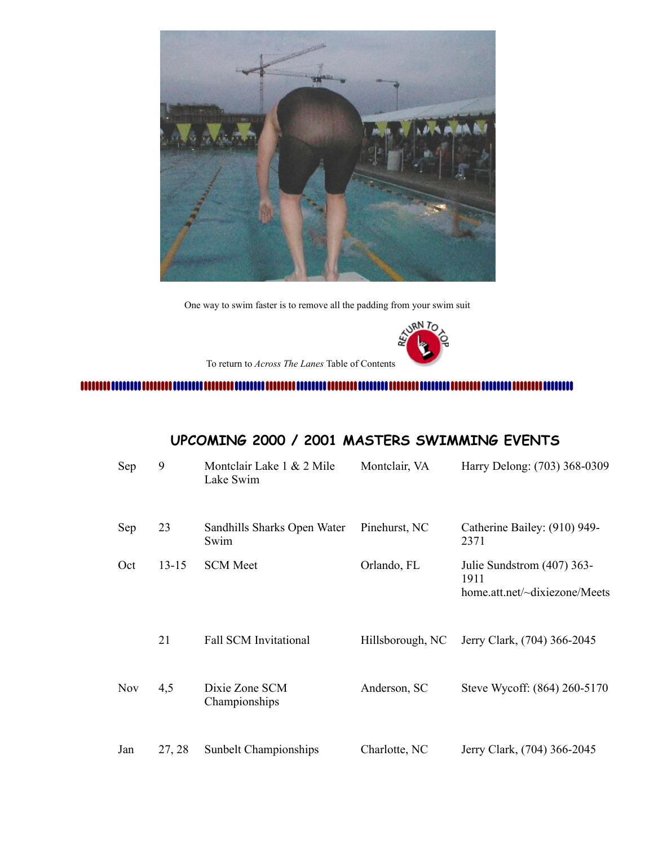

One way to swim faster is to remove all the padding from your swim suit



To return to *Across The Lanes* Table of Contents

<span id="page-7-0"></span>

## **UPCOMING 2000 / 2001 MASTERS SWIMMING EVENTS**

| Sep        | 9         | Montclair Lake 1 & 2 Mile<br>Lake Swim | Montclair, VA    | Harry Delong: (703) 368-0309                                        |
|------------|-----------|----------------------------------------|------------------|---------------------------------------------------------------------|
| Sep        | 23        | Sandhills Sharks Open Water<br>Swim    | Pinehurst, NC    | Catherine Bailey: (910) 949-<br>2371                                |
| Oct        | $13 - 15$ | <b>SCM</b> Meet                        | Orlando, FL      | Julie Sundstrom (407) 363-<br>1911<br>home.att.net/~dixiezone/Meets |
|            | 21        | <b>Fall SCM Invitational</b>           | Hillsborough, NC | Jerry Clark, (704) 366-2045                                         |
| <b>Nov</b> | 4,5       | Dixie Zone SCM<br>Championships        | Anderson, SC     | Steve Wycoff: (864) 260-5170                                        |
| Jan        | 27, 28    | Sunbelt Championships                  | Charlotte, NC    | Jerry Clark, (704) 366-2045                                         |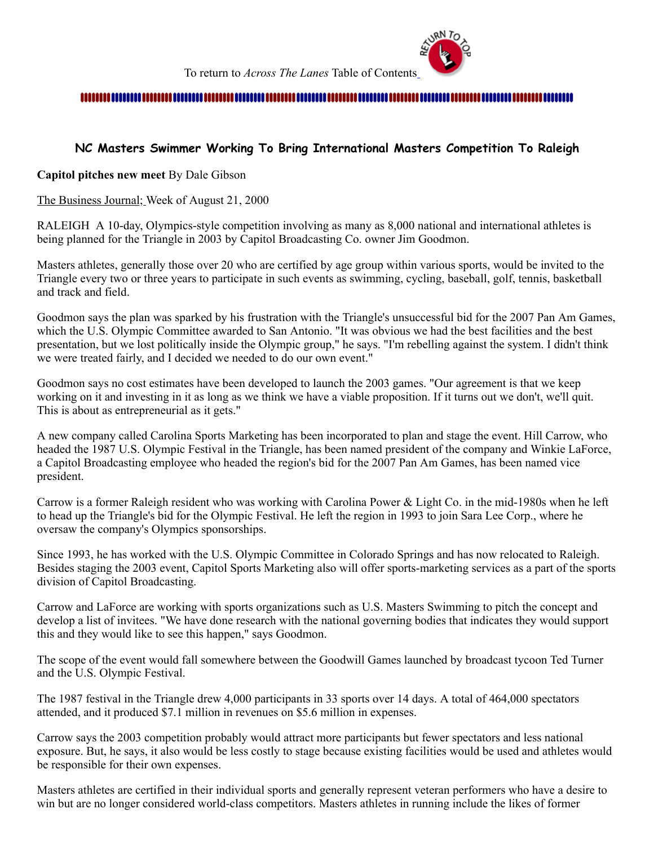

#### 

## <span id="page-8-0"></span>**NC Masters Swimmer Working To Bring International Masters Competition To Raleigh**

**Capitol pitches new meet** By Dale Gibson

The Business Journal; Week of August 21, 2000

RALEIGH A 10-day, Olympics-style competition involving as many as 8,000 national and international athletes is being planned for the Triangle in 2003 by Capitol Broadcasting Co. owner Jim Goodmon.

Masters athletes, generally those over 20 who are certified by age group within various sports, would be invited to the Triangle every two or three years to participate in such events as swimming, cycling, baseball, golf, tennis, basketball and track and field.

Goodmon says the plan was sparked by his frustration with the Triangle's unsuccessful bid for the 2007 Pan Am Games, which the U.S. Olympic Committee awarded to San Antonio. "It was obvious we had the best facilities and the best presentation, but we lost politically inside the Olympic group," he says. "I'm rebelling against the system. I didn't think we were treated fairly, and I decided we needed to do our own event."

Goodmon says no cost estimates have been developed to launch the 2003 games. "Our agreement is that we keep working on it and investing in it as long as we think we have a viable proposition. If it turns out we don't, we'll quit. This is about as entrepreneurial as it gets."

A new company called Carolina Sports Marketing has been incorporated to plan and stage the event. Hill Carrow, who headed the 1987 U.S. Olympic Festival in the Triangle, has been named president of the company and Winkie LaForce, a Capitol Broadcasting employee who headed the region's bid for the 2007 Pan Am Games, has been named vice president.

Carrow is a former Raleigh resident who was working with Carolina Power & Light Co. in the mid-1980s when he left to head up the Triangle's bid for the Olympic Festival. He left the region in 1993 to join Sara Lee Corp., where he oversaw the company's Olympics sponsorships.

Since 1993, he has worked with the U.S. Olympic Committee in Colorado Springs and has now relocated to Raleigh. Besides staging the 2003 event, Capitol Sports Marketing also will offer sports-marketing services as a part of the sports division of Capitol Broadcasting.

Carrow and LaForce are working with sports organizations such as U.S. Masters Swimming to pitch the concept and develop a list of invitees. "We have done research with the national governing bodies that indicates they would support this and they would like to see this happen," says Goodmon.

The scope of the event would fall somewhere between the Goodwill Games launched by broadcast tycoon Ted Turner and the U.S. Olympic Festival.

The 1987 festival in the Triangle drew 4,000 participants in 33 sports over 14 days. A total of 464,000 spectators attended, and it produced \$7.1 million in revenues on \$5.6 million in expenses.

Carrow says the 2003 competition probably would attract more participants but fewer spectators and less national exposure. But, he says, it also would be less costly to stage because existing facilities would be used and athletes would be responsible for their own expenses.

Masters athletes are certified in their individual sports and generally represent veteran performers who have a desire to win but are no longer considered world-class competitors. Masters athletes in running include the likes of former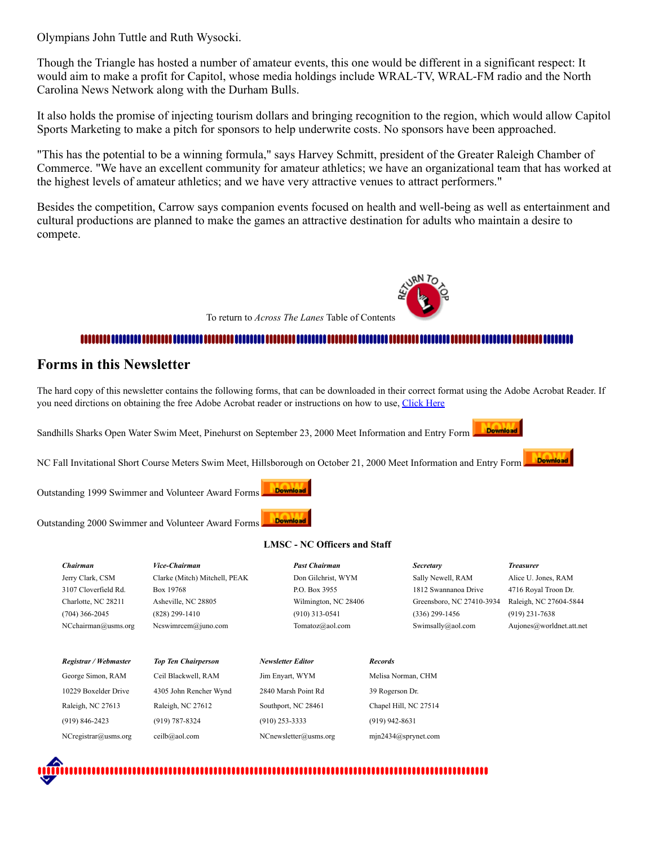Olympians John Tuttle and Ruth Wysocki.

Though the Triangle has hosted a number of amateur events, this one would be different in a significant respect: It would aim to make a profit for Capitol, whose media holdings include WRAL-TV, WRAL-FM radio and the North Carolina News Network along with the Durham Bulls.

It also holds the promise of injecting tourism dollars and bringing recognition to the region, which would allow Capitol Sports Marketing to make a pitch for sponsors to help underwrite costs. No sponsors have been approached.

"This has the potential to be a winning formula," says Harvey Schmitt, president of the Greater Raleigh Chamber of Commerce. "We have an excellent community for amateur athletics; we have an organizational team that has worked at the highest levels of amateur athletics; and we have very attractive venues to attract performers."

Besides the competition, Carrow says companion events focused on health and well-being as well as entertainment and cultural productions are planned to make the games an attractive destination for adults who maintain a desire to compete.

To return to *Across The Lanes* Table of Contents

## 

## <span id="page-9-0"></span>**Forms in this Newsletter**

The hard copy of this newsletter contains the following forms, that can be downloaded in their correct format using the Adobe Acrobat Reader. If you need dirctions on obtaining the free Adobe Acrobat reader or instructions on how to use, [Click Here](http://ncmasters.org/adobe.html)

Sandhills Sharks Open Water Swim Meet, Pinehurst on September 23, 2000 Meet Information and Entry Form

NC Fall Invitational Short Course Meters Swim Meet, Hillsborough on October 21, 2000 Meet Information and Entry Form

Download Outstanding 1999 Swimmer and Volunteer Award Forms

Download Outstanding 2000 Swimmer and Volunteer Award Forms

| Chairman              | Vice-Chairman                 | <b>Past Chairman</b> |                       | <b>Secretary</b>          | <b>Treasurer</b>        |
|-----------------------|-------------------------------|----------------------|-----------------------|---------------------------|-------------------------|
| Jerry Clark, CSM      | Clarke (Mitch) Mitchell, PEAK | Don Gilchrist, WYM   |                       | Sally Newell, RAM         | Alice U. Jones, RAM     |
| 3107 Cloverfield Rd.  | Box 19768                     | P.O. Box 3955        |                       | 1812 Swannanoa Drive      | 4716 Royal Troon Dr.    |
| Charlotte, NC 28211   | Asheville, NC 28805           | Wilmington, NC 28406 |                       | Greensboro, NC 27410-3934 | Raleigh, NC 27604-5844  |
| $(704)$ 366-2045      | $(828)$ 299-1410              | $(910)$ 313-0541     |                       | $(336)$ 299-1456          | $(919)$ 231-7638        |
| NCehairman@usms.org   | Neswimreem@juno.com           | Tomatoz@aol.com      |                       | Swimsally@aol.com         | Aujones@worldnet.att.ne |
|                       |                               |                      |                       |                           |                         |
| Registrar / Webmaster | <b>Top Ten Chairperson</b>    | Newsletter Editor    | <b>Records</b>        |                           |                         |
| George Simon, RAM     | Ceil Blackwell, RAM           | Jim Enyart, WYM      | Melisa Norman, CHM    |                           |                         |
| 10229 Boxelder Drive  | 4305 John Rencher Wynd        | 2840 Marsh Point Rd  | 39 Rogerson Dr.       |                           |                         |
| Raleigh, NC 27613     | Raleigh, NC 27612             | Southport, NC 28461  | Chapel Hill, NC 27514 |                           |                         |
| $(919) 846 - 2423$    | (919) 787-8324                | $(910)$ 253-3333     | $(919)$ 942-8631      |                           |                         |

#### **LMSC - NC Officers and Staff**

Aujones@worldnet.att.net



NCregistrar@usms.org ceilb@aol.com NCnewsletter@usms.org mjn2434@sprynet.com



Download

**Download**